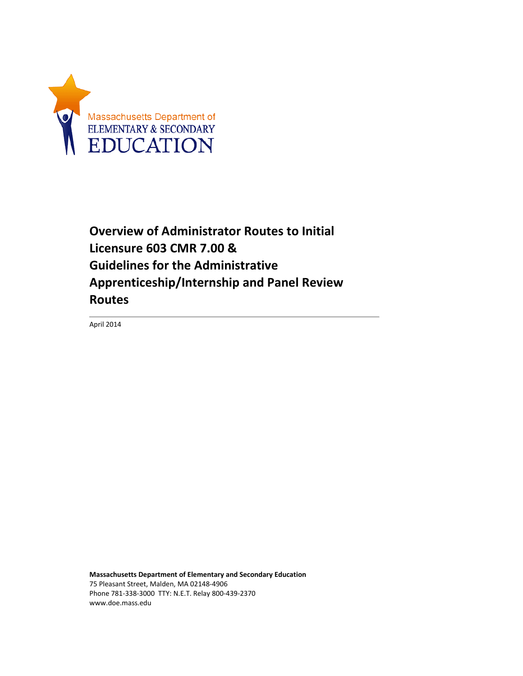

**Overview of Administrator Routes to Initial Licensure 603 CMR 7.00 & Guidelines for the Administrative Apprenticeship/Internship and Panel Review Routes**

April 2014

**Massachusetts Department of Elementary and Secondary Education** 75 Pleasant Street, Malden, MA 02148-4906 Phone 781-338-3000 TTY: N.E.T. Relay 800-439-2370 www.doe.mass.edu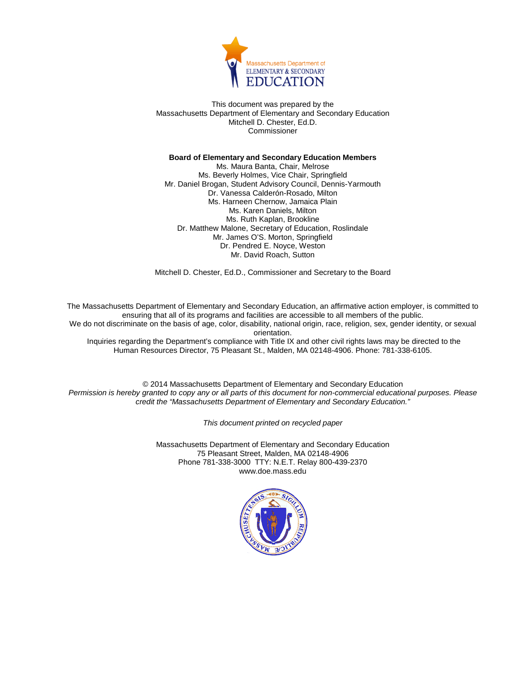

This document was prepared by the Massachusetts Department of Elementary and Secondary Education Mitchell D. Chester, Ed.D. Commissioner

#### **Board of Elementary and Secondary Education Members**

Ms. Maura Banta, Chair, Melrose Ms. Beverly Holmes, Vice Chair, Springfield Mr. Daniel Brogan, Student Advisory Council, Dennis-Yarmouth Dr. Vanessa Calderón-Rosado, Milton Ms. Harneen Chernow, Jamaica Plain Ms. Karen Daniels, Milton Ms. Ruth Kaplan, Brookline Dr. Matthew Malone, Secretary of Education, Roslindale Mr. James O'S. Morton, Springfield Dr. Pendred E. Noyce, Weston Mr. David Roach, Sutton

Mitchell D. Chester, Ed.D., Commissioner and Secretary to the Board

The Massachusetts Department of Elementary and Secondary Education, an affirmative action employer, is committed to ensuring that all of its programs and facilities are accessible to all members of the public.

We do not discriminate on the basis of age, color, disability, national origin, race, religion, sex, gender identity, or sexual orientation.

Inquiries regarding the Department's compliance with Title IX and other civil rights laws may be directed to the Human Resources Director, 75 Pleasant St., Malden, MA 02148-4906. Phone: 781-338-6105.

© 2014 Massachusetts Department of Elementary and Secondary Education *Permission is hereby granted to copy any or all parts of this document for non-commercial educational purposes. Please credit the "Massachusetts Department of Elementary and Secondary Education."*

*This document printed on recycled paper*

Massachusetts Department of Elementary and Secondary Education 75 Pleasant Street, Malden, MA 02148-4906 Phone 781-338-3000 TTY: N.E.T. Relay 800-439-2370 www.doe.mass.edu

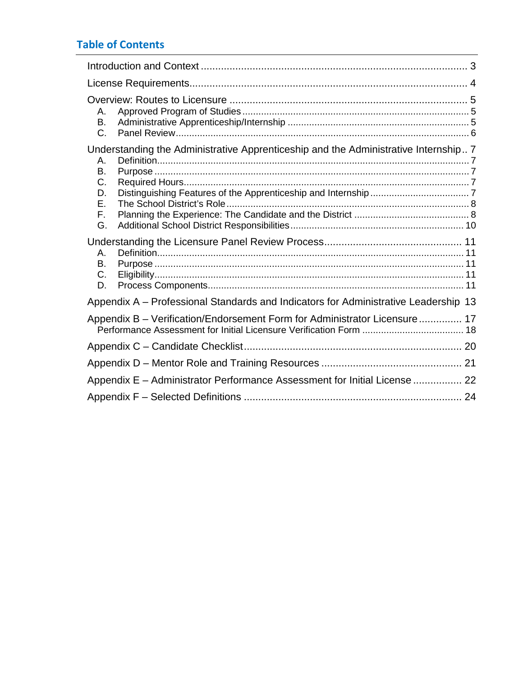# **Table of Contents**

| Α.<br>В.<br>C.                                                                                                                |  |
|-------------------------------------------------------------------------------------------------------------------------------|--|
| Understanding the Administrative Apprenticeship and the Administrative Internship 7<br>Α.<br>Β.<br>C.<br>D.<br>Е.<br>F.<br>G. |  |
| Α.<br>В.<br>C.<br>D.                                                                                                          |  |
| Appendix A - Professional Standards and Indicators for Administrative Leadership 13                                           |  |
| Appendix B - Verification/Endorsement Form for Administrator Licensure 17                                                     |  |
|                                                                                                                               |  |
|                                                                                                                               |  |
| Appendix E - Administrator Performance Assessment for Initial License  22                                                     |  |
|                                                                                                                               |  |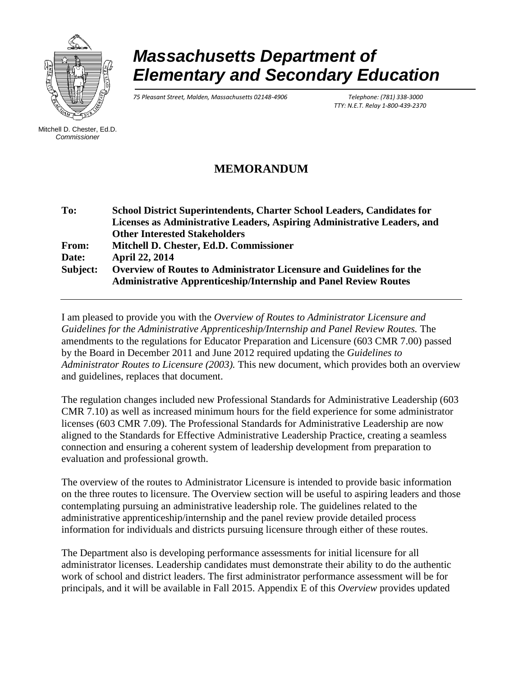

# *Massachusetts Department of Elementary and Secondary Education*

*75 Pleasant Street, Malden, Massachusetts 02148-4906 Telephone: (781) 338-3000*

 *TTY: N.E.T. Relay 1-800-439-2370*

Mitchell D. Chester, Ed.D. *Commissioner*

# **MEMORANDUM**

**To: School District Superintendents, Charter School Leaders, Candidates for Licenses as Administrative Leaders, Aspiring Administrative Leaders, and Other Interested Stakeholders From: Mitchell D. Chester, Ed.D. Commissioner Date: April 22, 2014 Subject: Overview of Routes to Administrator Licensure and Guidelines for the Administrative Apprenticeship/Internship and Panel Review Routes**

I am pleased to provide you with the *Overview of Routes to Administrator Licensure and Guidelines for the Administrative Apprenticeship/Internship and Panel Review Routes.* The amendments to the regulations for Educator Preparation and Licensure (603 CMR 7.00) passed by the Board in December 2011 and June 2012 required updating the *Guidelines to Administrator Routes to Licensure (2003).* This new document, which provides both an overview and guidelines, replaces that document.

The regulation changes included new Professional Standards for Administrative Leadership (603 CMR 7.10) as well as increased minimum hours for the field experience for some administrator licenses (603 CMR 7.09). The Professional Standards for Administrative Leadership are now aligned to the Standards for Effective Administrative Leadership Practice, creating a seamless connection and ensuring a coherent system of leadership development from preparation to evaluation and professional growth.

The overview of the routes to Administrator Licensure is intended to provide basic information on the three routes to licensure. The Overview section will be useful to aspiring leaders and those contemplating pursuing an administrative leadership role. The guidelines related to the administrative apprenticeship/internship and the panel review provide detailed process information for individuals and districts pursuing licensure through either of these routes.

The Department also is developing performance assessments for initial licensure for all administrator licenses. Leadership candidates must demonstrate their ability to do the authentic work of school and district leaders. The first administrator performance assessment will be for principals, and it will be available in Fall 2015. Appendix E of this *Overview* provides updated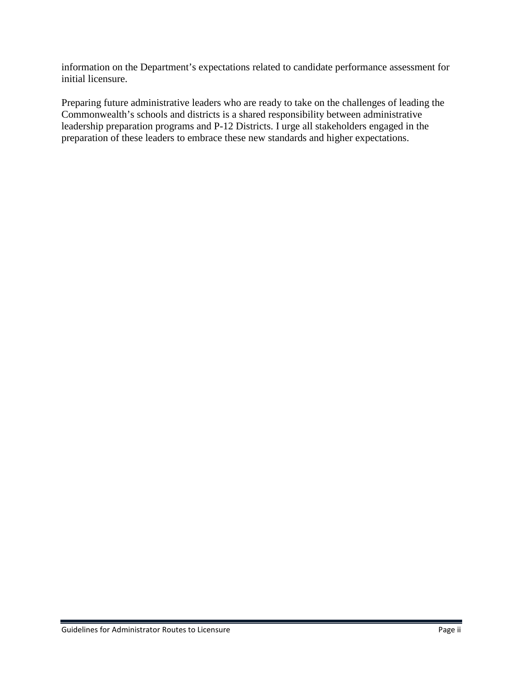information on the Department's expectations related to candidate performance assessment for initial licensure.

Preparing future administrative leaders who are ready to take on the challenges of leading the Commonwealth's schools and districts is a shared responsibility between administrative leadership preparation programs and P-12 Districts. I urge all stakeholders engaged in the preparation of these leaders to embrace these new standards and higher expectations.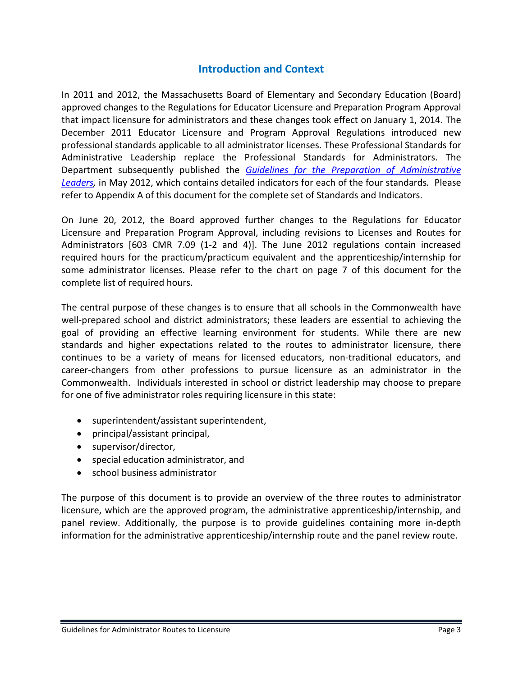# **Introduction and Context**

<span id="page-5-0"></span>In 2011 and 2012, the Massachusetts Board of Elementary and Secondary Education (Board) approved changes to the Regulations for Educator Licensure and Preparation Program Approval that impact licensure for administrators and these changes took effect on January 1, 2014. The December 2011 Educator Licensure and Program Approval Regulations introduced new professional standards applicable to all administrator licenses. These Professional Standards for Administrative Leadership replace the Professional Standards for Administrators. The Department subsequently published the *[Guidelines for the Preparation of Administrative](http://www.doe.mass.edu/edprep/advisories/) [Leaders,](http://www.doe.mass.edu/edprep/advisories/)* in May 2012, which contains detailed indicators for each of the four standards*.* Please refer to Appendix A of this document for the complete set of Standards and Indicators.

On June 20, 2012, the Board approved further changes to the Regulations for Educator Licensure and Preparation Program Approval, including revisions to Licenses and Routes for Administrators [603 CMR 7.09 (1-2 and 4)]. The June 2012 regulations contain increased required hours for the practicum/practicum equivalent and the apprenticeship/internship for some administrator licenses. Please refer to the chart on page 7 of this document for the complete list of required hours.

The central purpose of these changes is to ensure that all schools in the Commonwealth have well-prepared school and district administrators; these leaders are essential to achieving the goal of providing an effective learning environment for students. While there are new standards and higher expectations related to the routes to administrator licensure, there continues to be a variety of means for licensed educators, non-traditional educators, and career-changers from other professions to pursue licensure as an administrator in the Commonwealth. Individuals interested in school or district leadership may choose to prepare for one of five administrator roles requiring licensure in this state:

- superintendent/assistant superintendent,
- principal/assistant principal,
- supervisor/director,
- special education administrator, and
- school business administrator

The purpose of this document is to provide an overview of the three routes to administrator licensure, which are the approved program, the administrative apprenticeship/internship, and panel review. Additionally, the purpose is to provide guidelines containing more in-depth information for the administrative apprenticeship/internship route and the panel review route.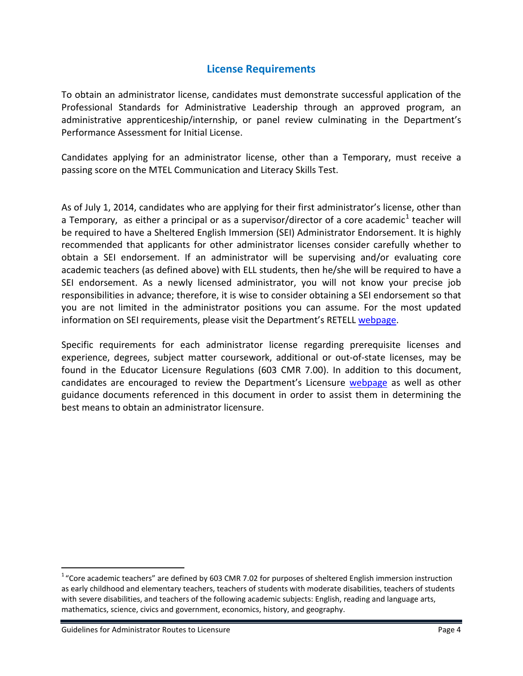# **License Requirements**

<span id="page-6-0"></span>To obtain an administrator license, candidates must demonstrate successful application of the Professional Standards for Administrative Leadership through an approved program, an administrative apprenticeship/internship, or panel review culminating in the Department's Performance Assessment for Initial License.

Candidates applying for an administrator license, other than a Temporary, must receive a passing score on the MTEL Communication and Literacy Skills Test.

As of July 1, 2014, candidates who are applying for their first administrator's license, other than a Temporary, as either a principal or as a supervisor/director of a core academic<sup>[1](#page-6-1)</sup> teacher will be required to have a Sheltered English Immersion (SEI) Administrator Endorsement. It is highly recommended that applicants for other administrator licenses consider carefully whether to obtain a SEI endorsement. If an administrator will be supervising and/or evaluating core academic teachers (as defined above) with ELL students, then he/she will be required to have a SEI endorsement. As a newly licensed administrator, you will not know your precise job responsibilities in advance; therefore, it is wise to consider obtaining a SEI endorsement so that you are not limited in the administrator positions you can assume. For the most updated information on SEI requirements, please visit the Department's RETELL [webpage.](http://www.doe.mass.edu/retell/)

Specific requirements for each administrator license regarding prerequisite licenses and experience, degrees, subject matter coursework, additional or out-of-state licenses, may be found in the Educator Licensure Regulations (603 CMR 7.00). In addition to this document, candidates are encouraged to review the Department's Licensure [webpage](http://www.doe.mass.edu/Educators/) as well as other guidance documents referenced in this document in order to assist them in determining the best means to obtain an administrator licensure.

<span id="page-6-1"></span> $\frac{1}{1}$  $1\text{°}$ Core academic teachers" are defined by 603 CMR 7.02 for purposes of sheltered English immersion instruction as early childhood and elementary teachers, teachers of students with moderate disabilities, teachers of students with severe disabilities, and teachers of the following academic subjects: English, reading and language arts, mathematics, science, civics and government, economics, history, and geography.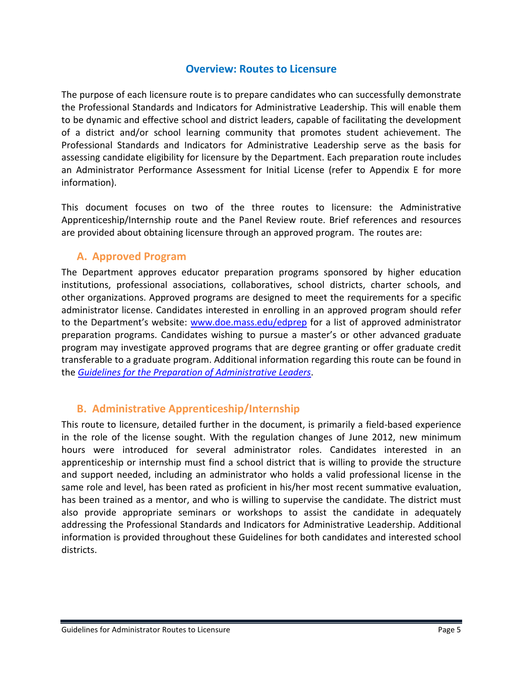### **Overview: Routes to Licensure**

<span id="page-7-0"></span>The purpose of each licensure route is to prepare candidates who can successfully demonstrate the Professional Standards and Indicators for Administrative Leadership. This will enable them to be dynamic and effective school and district leaders, capable of facilitating the development of a district and/or school learning community that promotes student achievement. The Professional Standards and Indicators for Administrative Leadership serve as the basis for assessing candidate eligibility for licensure by the Department. Each preparation route includes an Administrator Performance Assessment for Initial License (refer to Appendix E for more information).

This document focuses on two of the three routes to licensure: the Administrative Apprenticeship/Internship route and the Panel Review route. Brief references and resources are provided about obtaining licensure through an approved program. The routes are:

### <span id="page-7-1"></span>**A. Approved Program**

The Department approves educator preparation programs sponsored by higher education institutions, professional associations, collaboratives, school districts, charter schools, and other organizations. Approved programs are designed to meet the requirements for a specific administrator license. Candidates interested in enrolling in an approved program should refer to the Department's website: [www.doe.mass.edu/edprep](http://www.doe.mass.edu/edprep) for a list of approved administrator preparation programs. Candidates wishing to pursue a master's or other advanced graduate program may investigate approved programs that are degree granting or offer graduate credit transferable to a graduate program. Additional information regarding this route can be found in the *[Guidelines for the Preparation of Administrative Leaders](http://www.doe.mass.edu/edprep/advisories/LeadershipGuidelines.pdf)*.

# <span id="page-7-2"></span>**B. Administrative Apprenticeship/Internship**

This route to licensure, detailed further in the document, is primarily a field-based experience in the role of the license sought. With the regulation changes of June 2012, new minimum hours were introduced for several administrator roles. Candidates interested in an apprenticeship or internship must find a school district that is willing to provide the structure and support needed, including an administrator who holds a valid professional license in the same role and level, has been rated as proficient in his/her most recent summative evaluation, has been trained as a mentor, and who is willing to supervise the candidate. The district must also provide appropriate seminars or workshops to assist the candidate in adequately addressing the Professional Standards and Indicators for Administrative Leadership. Additional information is provided throughout these Guidelines for both candidates and interested school districts.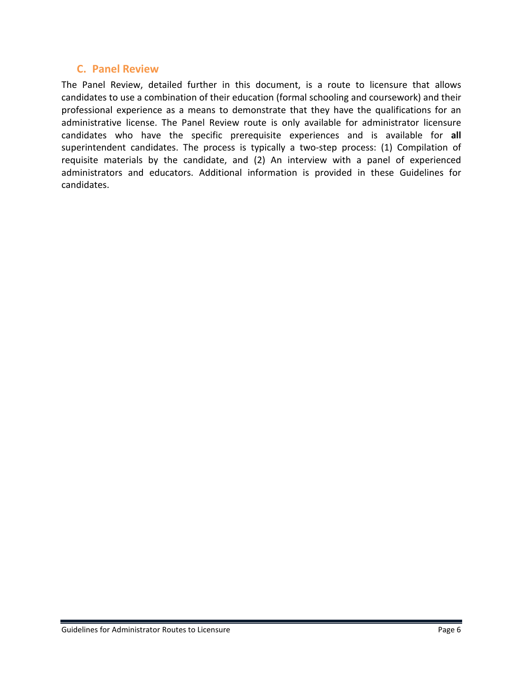### <span id="page-8-0"></span>**C. Panel Review**

The Panel Review, detailed further in this document, is a route to licensure that allows candidates to use a combination of their education (formal schooling and coursework) and their professional experience as a means to demonstrate that they have the qualifications for an administrative license. The Panel Review route is only available for administrator licensure candidates who have the specific prerequisite experiences and is available for **all** superintendent candidates. The process is typically a two-step process: (1) Compilation of requisite materials by the candidate, and (2) An interview with a panel of experienced administrators and educators. Additional information is provided in these Guidelines for candidates.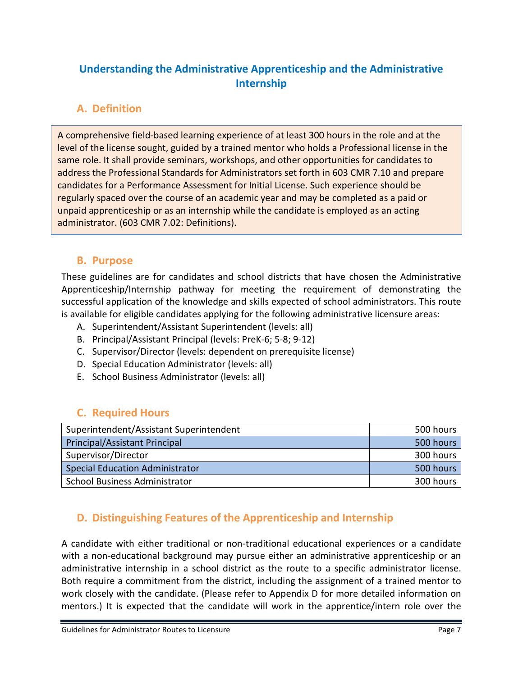# <span id="page-9-0"></span>**Understanding the Administrative Apprenticeship and the Administrative Internship**

# <span id="page-9-1"></span>**A. Definition**

A comprehensive field-based learning experience of at least 300 hours in the role and at the level of the license sought, guided by a trained mentor who holds a Professional license in the same role. It shall provide seminars, workshops, and other opportunities for candidates to address the Professional Standards for Administrators set forth in 603 CMR 7.10 and prepare candidates for a Performance Assessment for Initial License. Such experience should be regularly spaced over the course of an academic year and may be completed as a paid or unpaid apprenticeship or as an internship while the candidate is employed as an acting administrator. (603 CMR 7.02: Definitions).

# <span id="page-9-2"></span>**B. Purpose**

These guidelines are for candidates and school districts that have chosen the Administrative Apprenticeship/Internship pathway for meeting the requirement of demonstrating the successful application of the knowledge and skills expected of school administrators. This route is available for eligible candidates applying for the following administrative licensure areas:

- A. Superintendent/Assistant Superintendent (levels: all)
- B. Principal/Assistant Principal (levels: PreK-6; 5-8; 9-12)
- C. Supervisor/Director (levels: dependent on prerequisite license)
- D. Special Education Administrator (levels: all)
- E. School Business Administrator (levels: all)

# <span id="page-9-3"></span>**C. Required Hours**

| Superintendent/Assistant Superintendent | 500 hours |
|-----------------------------------------|-----------|
| <b>Principal/Assistant Principal</b>    | 500 hours |
| Supervisor/Director                     | 300 hours |
| <b>Special Education Administrator</b>  | 500 hours |
| <b>School Business Administrator</b>    | 300 hours |

# <span id="page-9-4"></span>**D. Distinguishing Features of the Apprenticeship and Internship**

A candidate with either traditional or non-traditional educational experiences or a candidate with a non-educational background may pursue either an administrative apprenticeship or an administrative internship in a school district as the route to a specific administrator license. Both require a commitment from the district, including the assignment of a trained mentor to work closely with the candidate. (Please refer to Appendix D for more detailed information on mentors.) It is expected that the candidate will work in the apprentice/intern role over the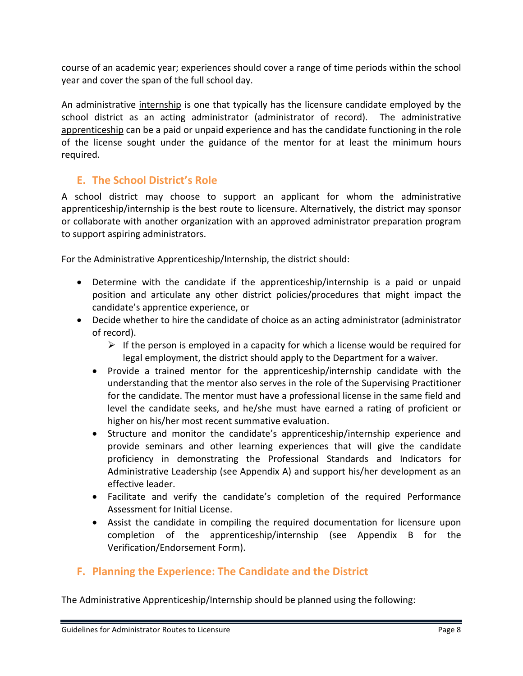course of an academic year; experiences should cover a range of time periods within the school year and cover the span of the full school day.

An administrative internship is one that typically has the licensure candidate employed by the school district as an acting administrator (administrator of record). The administrative apprenticeship can be a paid or unpaid experience and has the candidate functioning in the role of the license sought under the guidance of the mentor for at least the minimum hours required.

# <span id="page-10-0"></span>**E. The School District's Role**

A school district may choose to support an applicant for whom the administrative apprenticeship/internship is the best route to licensure. Alternatively, the district may sponsor or collaborate with another organization with an approved administrator preparation program to support aspiring administrators.

For the Administrative Apprenticeship/Internship, the district should:

- Determine with the candidate if the apprenticeship/internship is a paid or unpaid position and articulate any other district policies/procedures that might impact the candidate's apprentice experience, or
- Decide whether to hire the candidate of choice as an acting administrator (administrator of record).
	- $\triangleright$  If the person is employed in a capacity for which a license would be required for legal employment, the district should apply to the Department for a waiver.
	- Provide a trained mentor for the apprenticeship/internship candidate with the understanding that the mentor also serves in the role of the Supervising Practitioner for the candidate. The mentor must have a professional license in the same field and level the candidate seeks, and he/she must have earned a rating of proficient or higher on his/her most recent summative evaluation.
	- Structure and monitor the candidate's apprenticeship/internship experience and provide seminars and other learning experiences that will give the candidate proficiency in demonstrating the Professional Standards and Indicators for Administrative Leadership (see Appendix A) and support his/her development as an effective leader.
	- Facilitate and verify the candidate's completion of the required Performance Assessment for Initial License.
	- Assist the candidate in compiling the required documentation for licensure upon completion of the apprenticeship/internship (see Appendix B for the Verification/Endorsement Form).

# <span id="page-10-1"></span>**F. Planning the Experience: The Candidate and the District**

The Administrative Apprenticeship/Internship should be planned using the following: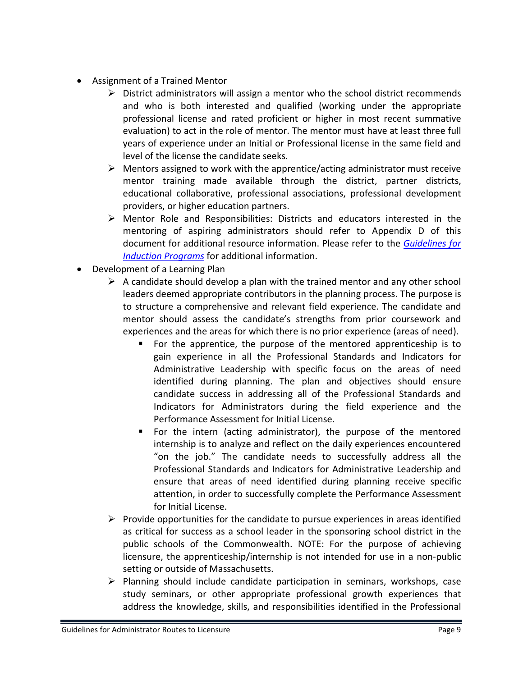- Assignment of a Trained Mentor
	- $\triangleright$  District administrators will assign a mentor who the school district recommends and who is both interested and qualified (working under the appropriate professional license and rated proficient or higher in most recent summative evaluation) to act in the role of mentor. The mentor must have at least three full years of experience under an Initial or Professional license in the same field and level of the license the candidate seeks.
	- $\triangleright$  Mentors assigned to work with the apprentice/acting administrator must receive mentor training made available through the district, partner districts, educational collaborative, professional associations, professional development providers, or higher education partners.
	- $\triangleright$  Mentor Role and Responsibilities: Districts and educators interested in the mentoring of aspiring administrators should refer to Appendix D of this document for additional resource information. Please refer to the *[Guidelines for](http://www.doe.mass.edu/educators/mentor/induct.pdf)  [Induction Programs](http://www.doe.mass.edu/educators/mentor/induct.pdf)* for additional information.
- Development of a Learning Plan
	- $\triangleright$  A candidate should develop a plan with the trained mentor and any other school leaders deemed appropriate contributors in the planning process. The purpose is to structure a comprehensive and relevant field experience. The candidate and mentor should assess the candidate's strengths from prior coursework and experiences and the areas for which there is no prior experience (areas of need).
		- For the apprentice, the purpose of the mentored apprenticeship is to gain experience in all the Professional Standards and Indicators for Administrative Leadership with specific focus on the areas of need identified during planning. The plan and objectives should ensure candidate success in addressing all of the Professional Standards and Indicators for Administrators during the field experience and the Performance Assessment for Initial License.
		- For the intern (acting administrator), the purpose of the mentored internship is to analyze and reflect on the daily experiences encountered "on the job." The candidate needs to successfully address all the Professional Standards and Indicators for Administrative Leadership and ensure that areas of need identified during planning receive specific attention, in order to successfully complete the Performance Assessment for Initial License.
	- $\triangleright$  Provide opportunities for the candidate to pursue experiences in areas identified as critical for success as a school leader in the sponsoring school district in the public schools of the Commonwealth. NOTE: For the purpose of achieving licensure, the apprenticeship/internship is not intended for use in a non-public setting or outside of Massachusetts.
	- $\triangleright$  Planning should include candidate participation in seminars, workshops, case study seminars, or other appropriate professional growth experiences that address the knowledge, skills, and responsibilities identified in the Professional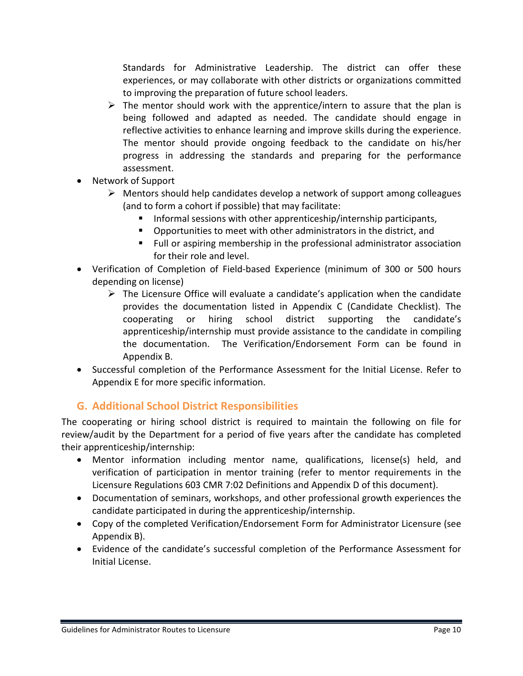Standards for Administrative Leadership. The district can offer these experiences, or may collaborate with other districts or organizations committed to improving the preparation of future school leaders.

- $\triangleright$  The mentor should work with the apprentice/intern to assure that the plan is being followed and adapted as needed. The candidate should engage in reflective activities to enhance learning and improve skills during the experience. The mentor should provide ongoing feedback to the candidate on his/her progress in addressing the standards and preparing for the performance assessment.
- Network of Support
	- $\triangleright$  Mentors should help candidates develop a network of support among colleagues (and to form a cohort if possible) that may facilitate:
		- Informal sessions with other apprenticeship/internship participants,
		- Opportunities to meet with other administrators in the district, and
		- Full or aspiring membership in the professional administrator association for their role and level.
- Verification of Completion of Field-based Experience (minimum of 300 or 500 hours depending on license)
	- $\triangleright$  The Licensure Office will evaluate a candidate's application when the candidate provides the documentation listed in Appendix C (Candidate Checklist). The cooperating or hiring school district supporting the candidate's apprenticeship/internship must provide assistance to the candidate in compiling the documentation. The Verification/Endorsement Form can be found in Appendix B.
- Successful completion of the Performance Assessment for the Initial License. Refer to Appendix E for more specific information.

# <span id="page-12-0"></span>**G. Additional School District Responsibilities**

The cooperating or hiring school district is required to maintain the following on file for review/audit by the Department for a period of five years after the candidate has completed their apprenticeship/internship:

- Mentor information including mentor name, qualifications, license(s) held, and verification of participation in mentor training (refer to mentor requirements in the Licensure Regulations 603 CMR 7:02 Definitions and Appendix D of this document).
- Documentation of seminars, workshops, and other professional growth experiences the candidate participated in during the apprenticeship/internship.
- Copy of the completed Verification/Endorsement Form for Administrator Licensure (see Appendix B).
- Evidence of the candidate's successful completion of the Performance Assessment for Initial License.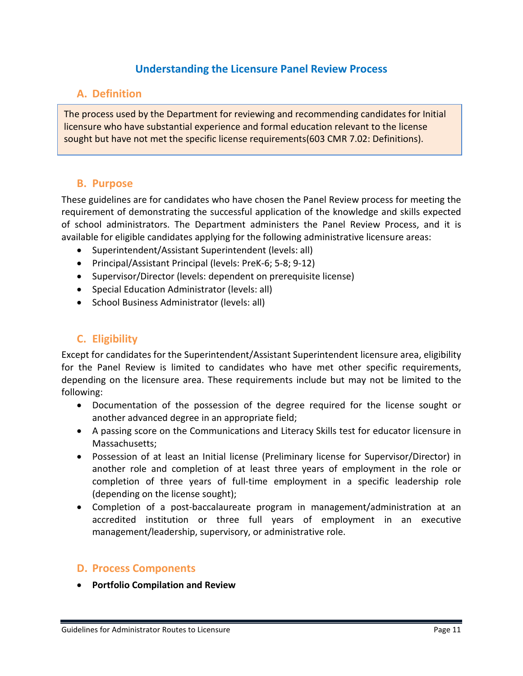# **Understanding the Licensure Panel Review Process**

### <span id="page-13-1"></span><span id="page-13-0"></span>**A. Definition**

The process used by the Department for reviewing and recommending candidates for Initial licensure who have substantial experience and formal education relevant to the license sought but have not met the specific license requirements(603 CMR 7.02: Definitions).

#### <span id="page-13-2"></span>**B. Purpose**

These guidelines are for candidates who have chosen the Panel Review process for meeting the requirement of demonstrating the successful application of the knowledge and skills expected of school administrators. The Department administers the Panel Review Process, and it is available for eligible candidates applying for the following administrative licensure areas:

- Superintendent/Assistant Superintendent (levels: all)
- Principal/Assistant Principal (levels: PreK-6; 5-8; 9-12)
- Supervisor/Director (levels: dependent on prerequisite license)
- Special Education Administrator (levels: all)
- School Business Administrator (levels: all)

# <span id="page-13-3"></span>**C. Eligibility**

Except for candidates for the Superintendent/Assistant Superintendent licensure area, eligibility for the Panel Review is limited to candidates who have met other specific requirements, depending on the licensure area. These requirements include but may not be limited to the following:

- Documentation of the possession of the degree required for the license sought or another advanced degree in an appropriate field;
- A passing score on the Communications and Literacy Skills test for educator licensure in Massachusetts;
- Possession of at least an Initial license (Preliminary license for Supervisor/Director) in another role and completion of at least three years of employment in the role or completion of three years of full-time employment in a specific leadership role (depending on the license sought);
- Completion of a post-baccalaureate program in management/administration at an accredited institution or three full years of employment in an executive management/leadership, supervisory, or administrative role.

#### <span id="page-13-4"></span>**D. Process Components**

• **Portfolio Compilation and Review**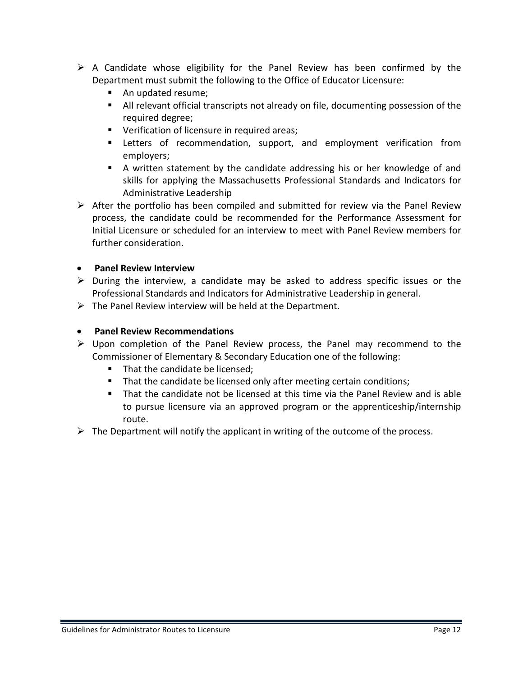- $\triangleright$  A Candidate whose eligibility for the Panel Review has been confirmed by the Department must submit the following to the Office of Educator Licensure:
	- An updated resume;
	- All relevant official transcripts not already on file, documenting possession of the required degree;
	- **Verification of licensure in required areas;**
	- **EXT** Letters of recommendation, support, and employment verification from employers;
	- A written statement by the candidate addressing his or her knowledge of and skills for applying the Massachusetts Professional Standards and Indicators for Administrative Leadership
- $\triangleright$  After the portfolio has been compiled and submitted for review via the Panel Review process, the candidate could be recommended for the Performance Assessment for Initial Licensure or scheduled for an interview to meet with Panel Review members for further consideration.

#### • **Panel Review Interview**

- $\triangleright$  During the interview, a candidate may be asked to address specific issues or the Professional Standards and Indicators for Administrative Leadership in general.
- $\triangleright$  The Panel Review interview will be held at the Department.

#### • **Panel Review Recommendations**

- $\triangleright$  Upon completion of the Panel Review process, the Panel may recommend to the Commissioner of Elementary & Secondary Education one of the following:
	- **That the candidate be licensed;**
	- That the candidate be licensed only after meeting certain conditions;
	- That the candidate not be licensed at this time via the Panel Review and is able to pursue licensure via an approved program or the apprenticeship/internship route.
- $\triangleright$  The Department will notify the applicant in writing of the outcome of the process.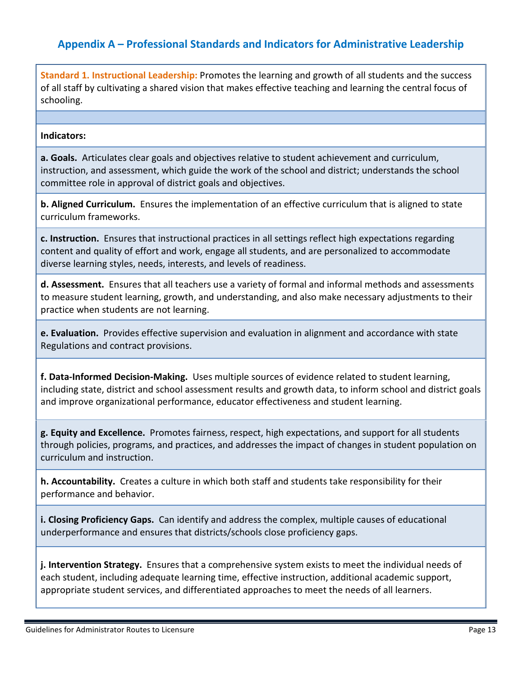# <span id="page-15-0"></span>**Appendix A – Professional Standards and Indicators for Administrative Leadership**

**Standard 1. Instructional Leadership:** Promotes the learning and growth of all students and the success of all staff by cultivating a shared vision that makes effective teaching and learning the central focus of schooling.

#### **Indicators:**

**a. Goals.** Articulates clear goals and objectives relative to student achievement and curriculum, instruction, and assessment, which guide the work of the school and district; understands the school committee role in approval of district goals and objectives.

**b. Aligned Curriculum.** Ensures the implementation of an effective curriculum that is aligned to state curriculum frameworks.

**c. Instruction.** Ensures that instructional practices in all settings reflect high expectations regarding content and quality of effort and work, engage all students, and are personalized to accommodate diverse learning styles, needs, interests, and levels of readiness.

**d. Assessment.** Ensures that all teachers use a variety of formal and informal methods and assessments to measure student learning, growth, and understanding, and also make necessary adjustments to their practice when students are not learning.

**e. Evaluation.** Provides effective supervision and evaluation in alignment and accordance with state Regulations and contract provisions.

**f. Data-Informed Decision-Making.** Uses multiple sources of evidence related to student learning, including state, district and school assessment results and growth data, to inform school and district goals and improve organizational performance, educator effectiveness and student learning.

**g. Equity and Excellence.** Promotes fairness, respect, high expectations, and support for all students through policies, programs, and practices, and addresses the impact of changes in student population on curriculum and instruction.

**h. Accountability.** Creates a culture in which both staff and students take responsibility for their performance and behavior.

**i. Closing Proficiency Gaps.** Can identify and address the complex, multiple causes of educational underperformance and ensures that districts/schools close proficiency gaps.

**j. Intervention Strategy.** Ensures that a comprehensive system exists to meet the individual needs of each student, including adequate learning time, effective instruction, additional academic support, appropriate student services, and differentiated approaches to meet the needs of all learners.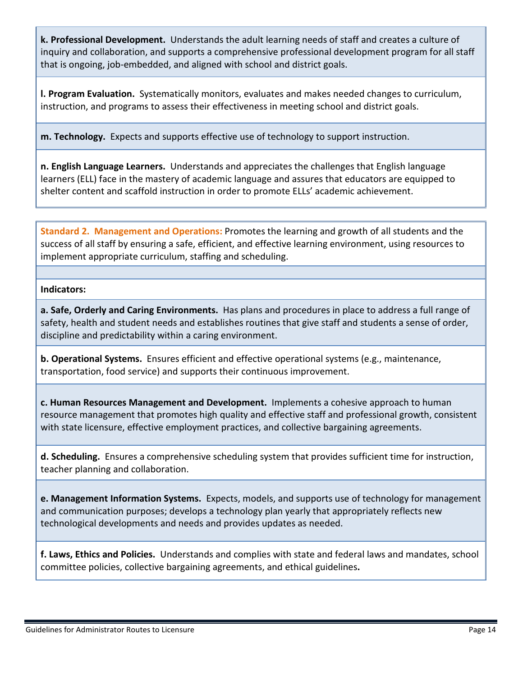**k. Professional Development.** Understands the adult learning needs of staff and creates a culture of inquiry and collaboration, and supports a comprehensive professional development program for all staff that is ongoing, job-embedded, and aligned with school and district goals.

**l. Program Evaluation.** Systematically monitors, evaluates and makes needed changes to curriculum, instruction, and programs to assess their effectiveness in meeting school and district goals.

**m. Technology.** Expects and supports effective use of technology to support instruction.

**n. English Language Learners.** Understands and appreciates the challenges that English language learners (ELL) face in the mastery of academic language and assures that educators are equipped to shelter content and scaffold instruction in order to promote ELLs' academic achievement.

**Standard 2. Management and Operations:** Promotes the learning and growth of all students and the success of all staff by ensuring a safe, efficient, and effective learning environment, using resources to implement appropriate curriculum, staffing and scheduling.

#### **Indicators:**

**a. Safe, Orderly and Caring Environments.** Has plans and procedures in place to address a full range of safety, health and student needs and establishes routines that give staff and students a sense of order, discipline and predictability within a caring environment.

**b. Operational Systems.** Ensures efficient and effective operational systems (e.g., maintenance, transportation, food service) and supports their continuous improvement.

**c. Human Resources Management and Development.** Implements a cohesive approach to human resource management that promotes high quality and effective staff and professional growth, consistent with state licensure, effective employment practices, and collective bargaining agreements.

**d. Scheduling.** Ensures a comprehensive scheduling system that provides sufficient time for instruction, teacher planning and collaboration.

**e. Management Information Systems.** Expects, models, and supports use of technology for management and communication purposes; develops a technology plan yearly that appropriately reflects new technological developments and needs and provides updates as needed.

**f. Laws, Ethics and Policies.** Understands and complies with state and federal laws and mandates, school committee policies, collective bargaining agreements, and ethical guidelines**.**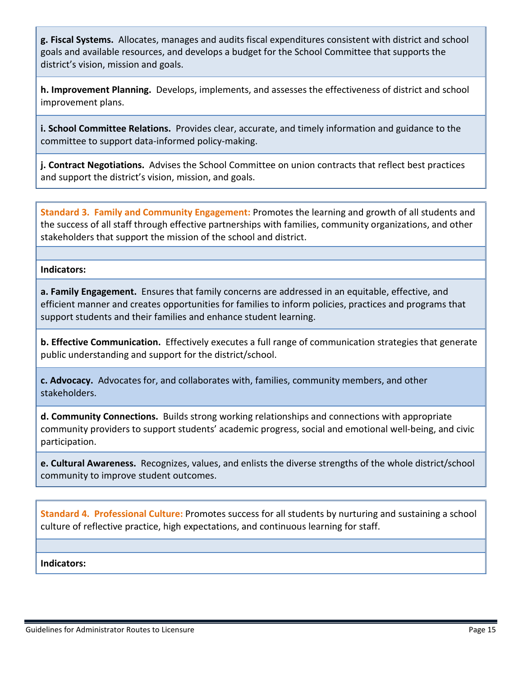**g. Fiscal Systems.** Allocates, manages and audits fiscal expenditures consistent with district and school goals and available resources, and develops a budget for the School Committee that supports the district's vision, mission and goals.

**h. Improvement Planning.** Develops, implements, and assesses the effectiveness of district and school improvement plans.

**i. School Committee Relations.** Provides clear, accurate, and timely information and guidance to the committee to support data-informed policy-making.

**j. Contract Negotiations.** Advises the School Committee on union contracts that reflect best practices and support the district's vision, mission, and goals.

**Standard 3. Family and Community Engagement:** Promotes the learning and growth of all students and the success of all staff through effective partnerships with families, community organizations, and other stakeholders that support the mission of the school and district.

**Indicators:** 

**a. Family Engagement.** Ensures that family concerns are addressed in an equitable, effective, and efficient manner and creates opportunities for families to inform policies, practices and programs that support students and their families and enhance student learning.

**b. Effective Communication.** Effectively executes a full range of communication strategies that generate public understanding and support for the district/school.

**c. Advocacy.** Advocates for, and collaborates with, families, community members, and other stakeholders.

**d. Community Connections.** Builds strong working relationships and connections with appropriate community providers to support students' academic progress, social and emotional well-being, and civic participation.

**e. Cultural Awareness.** Recognizes, values, and enlists the diverse strengths of the whole district/school community to improve student outcomes.

**Standard 4. Professional Culture:** Promotes success for all students by nurturing and sustaining a school culture of reflective practice, high expectations, and continuous learning for staff.

**Indicators:**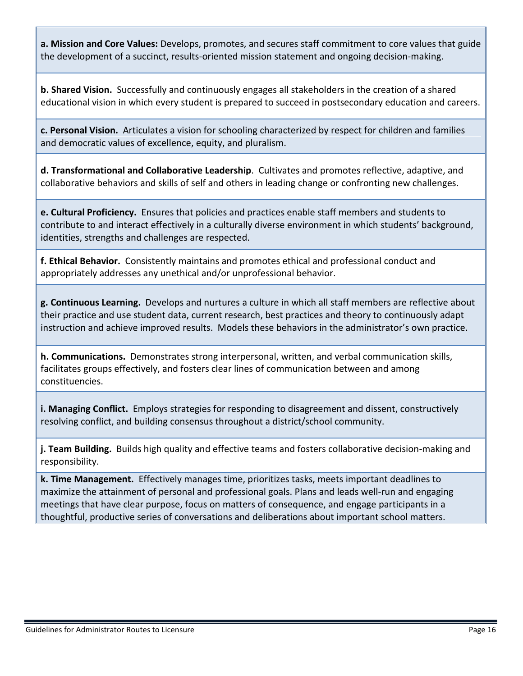**a. Mission and Core Values:** Develops, promotes, and secures staff commitment to core values that guide the development of a succinct, results-oriented mission statement and ongoing decision-making.

**b. Shared Vision.** Successfully and continuously engages all stakeholders in the creation of a shared educational vision in which every student is prepared to succeed in postsecondary education and careers.

**c. Personal Vision.** Articulates a vision for schooling characterized by respect for children and families and democratic values of excellence, equity, and pluralism.

**d. Transformational and Collaborative Leadership**.Cultivates and promotes reflective, adaptive, and collaborative behaviors and skills of self and others in leading change or confronting new challenges.

**e. Cultural Proficiency.** Ensures that policies and practices enable staff members and students to contribute to and interact effectively in a culturally diverse environment in which students' background, identities, strengths and challenges are respected.

**f. Ethical Behavior.** Consistently maintains and promotes ethical and professional conduct and appropriately addresses any unethical and/or unprofessional behavior.

**g. Continuous Learning.** Develops and nurtures a culture in which all staff members are reflective about their practice and use student data, current research, best practices and theory to continuously adapt instruction and achieve improved results. Models these behaviors in the administrator's own practice.

**h. Communications.** Demonstrates strong interpersonal, written, and verbal communication skills, facilitates groups effectively, and fosters clear lines of communication between and among constituencies.

**i. Managing Conflict.** Employs strategies for responding to disagreement and dissent, constructively resolving conflict, and building consensus throughout a district/school community.

**j. Team Building.** Builds high quality and effective teams and fosters collaborative decision-making and responsibility.

**k. Time Management.** Effectively manages time, prioritizes tasks, meets important deadlines to maximize the attainment of personal and professional goals. Plans and leads well-run and engaging meetings that have clear purpose, focus on matters of consequence, and engage participants in a thoughtful, productive series of conversations and deliberations about important school matters.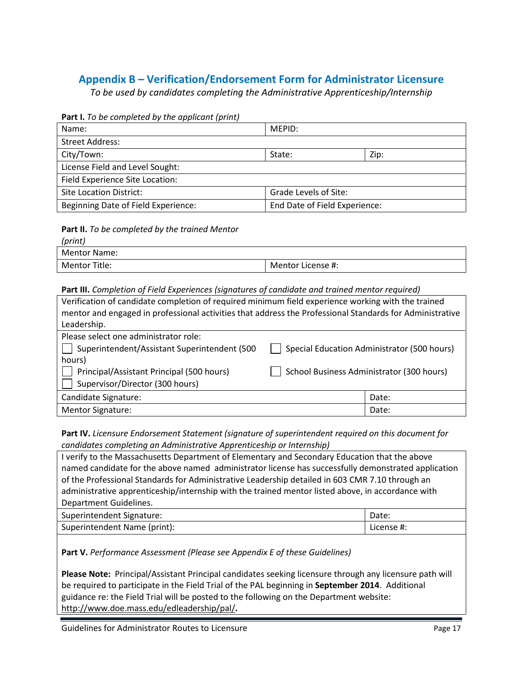# <span id="page-19-0"></span>**Appendix B – Verification/Endorsement Form for Administrator Licensure**

*To be used by candidates completing the Administrative Apprenticeship/Internship*

#### **Part I.** *To be completed by the applicant (print)*

| Name:                               | MFPID:                        |      |
|-------------------------------------|-------------------------------|------|
| <b>Street Address:</b>              |                               |      |
| City/Town:                          | State:                        | Zip: |
| License Field and Level Sought:     |                               |      |
| Field Experience Site Location:     |                               |      |
| Site Location District:             | Grade Levels of Site:         |      |
| Beginning Date of Field Experience: | End Date of Field Experience: |      |

#### **Part II.** *To be completed by the trained Mentor*

| (print)       |                   |
|---------------|-------------------|
| Mentor Name:  |                   |
| Mentor Title: | Mentor License #: |

#### **Part III.** *Completion of Field Experiences (signatures of candidate and trained mentor required)*

| Verification of candidate completion of required minimum field experience working with the trained       |                                           |                                             |
|----------------------------------------------------------------------------------------------------------|-------------------------------------------|---------------------------------------------|
| mentor and engaged in professional activities that address the Professional Standards for Administrative |                                           |                                             |
| Leadership.                                                                                              |                                           |                                             |
| Please select one administrator role:                                                                    |                                           |                                             |
| Superintendent/Assistant Superintendent (500                                                             |                                           | Special Education Administrator (500 hours) |
| hours)                                                                                                   |                                           |                                             |
| Principal/Assistant Principal (500 hours)                                                                | School Business Administrator (300 hours) |                                             |
| Supervisor/Director (300 hours)                                                                          |                                           |                                             |
| Candidate Signature:                                                                                     |                                           | Date:                                       |
| <b>Mentor Signature:</b>                                                                                 |                                           | Date:                                       |

#### **Part IV.** *Licensure Endorsement Statement (signature of superintendent required on this document for candidates completing an Administrative Apprenticeship or Internship)*

I verify to the Massachusetts Department of Elementary and Secondary Education that the above named candidate for the above named administrator license has successfully demonstrated application of the Professional Standards for Administrative Leadership detailed in 603 CMR 7.10 through an administrative apprenticeship/internship with the trained mentor listed above, in accordance with Department Guidelines.

| Superintendent Signature:    | Date:      |
|------------------------------|------------|
| Superintendent Name (print): | License #: |

**Part V.** *Performance Assessment (Please see Appendix E of these Guidelines)*

**Please Note:** Principal/Assistant Principal candidates seeking licensure through any licensure path will be required to participate in the Field Trial of the PAL beginning in **September 2014**. Additional guidance re: the Field Trial will be posted to the following on the Department website: <http://www.doe.mass.edu/edleadership/pal/>**.**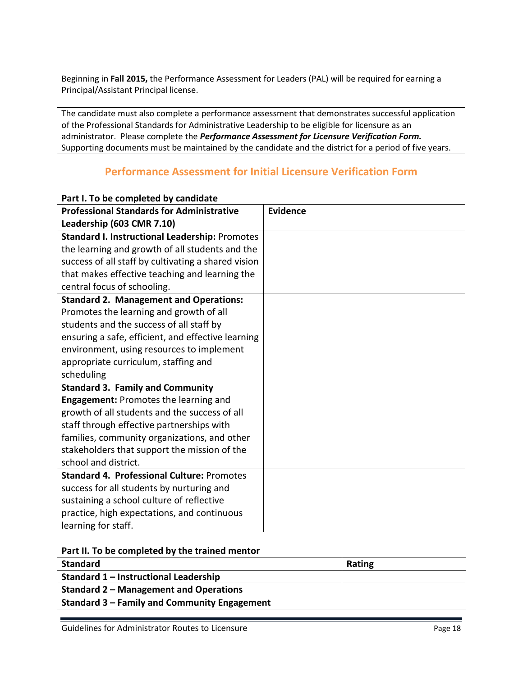Beginning in **Fall 2015,** the Performance Assessment for Leaders (PAL) will be required for earning a Principal/Assistant Principal license.

The candidate must also complete a performance assessment that demonstrates successful application of the Professional Standards for Administrative Leadership to be eligible for licensure as an administrator. Please complete the *Performance Assessment for Licensure Verification Form.*  Supporting documents must be maintained by the candidate and the district for a period of five years.

# **Performance Assessment for Initial Licensure Verification Form**

| <b>Professional Standards for Administrative</b>    | <b>Evidence</b> |
|-----------------------------------------------------|-----------------|
| Leadership (603 CMR 7.10)                           |                 |
| Standard I. Instructional Leadership: Promotes      |                 |
| the learning and growth of all students and the     |                 |
| success of all staff by cultivating a shared vision |                 |
| that makes effective teaching and learning the      |                 |
| central focus of schooling.                         |                 |
| <b>Standard 2. Management and Operations:</b>       |                 |
| Promotes the learning and growth of all             |                 |
| students and the success of all staff by            |                 |
| ensuring a safe, efficient, and effective learning  |                 |
| environment, using resources to implement           |                 |
| appropriate curriculum, staffing and                |                 |
| scheduling                                          |                 |
| <b>Standard 3. Family and Community</b>             |                 |
| <b>Engagement: Promotes the learning and</b>        |                 |
| growth of all students and the success of all       |                 |
| staff through effective partnerships with           |                 |
| families, community organizations, and other        |                 |
| stakeholders that support the mission of the        |                 |
| school and district.                                |                 |
| <b>Standard 4. Professional Culture: Promotes</b>   |                 |
| success for all students by nurturing and           |                 |
| sustaining a school culture of reflective           |                 |
| practice, high expectations, and continuous         |                 |
| learning for staff.                                 |                 |

#### <span id="page-20-0"></span>**Part I. To be completed by candidate**

|  |  |  | Part II. To be completed by the trained mentor |  |
|--|--|--|------------------------------------------------|--|
|--|--|--|------------------------------------------------|--|

| <b>Standard</b>                               | <b>Rating</b> |
|-----------------------------------------------|---------------|
| Standard 1 – Instructional Leadership         |               |
| <b>Standard 2 - Management and Operations</b> |               |
| Standard 3 – Family and Community Engagement  |               |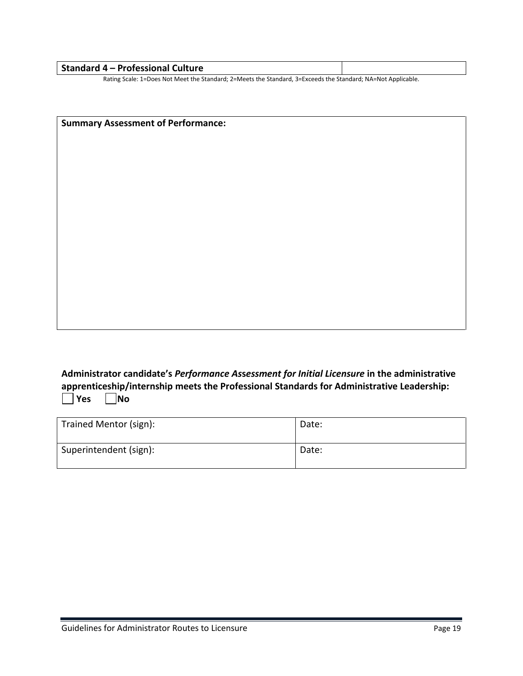| <b>Standard 4 - Professional Culture</b>                                                                           |  |
|--------------------------------------------------------------------------------------------------------------------|--|
| Datina Caelar 4 - Dana Mat Maat tha Ctendendr 9 - Maats the Ctendendr 9 - Friendathe Ctendendr MA - Mat Annibedele |  |

Rating Scale: 1=Does Not Meet the Standard; 2=Meets the Standard, 3=Exceeds the Standard; NA=Not Applicable.

**Summary Assessment of Performance:**

**Administrator candidate's** *Performance As***s***essment for Initial Licensure* **in the administrative apprenticeship/internship meets the Professional Standards for Administrative Leadership: No** 

| Trained Mentor (sign): | Date: |
|------------------------|-------|
| Superintendent (sign): | Date: |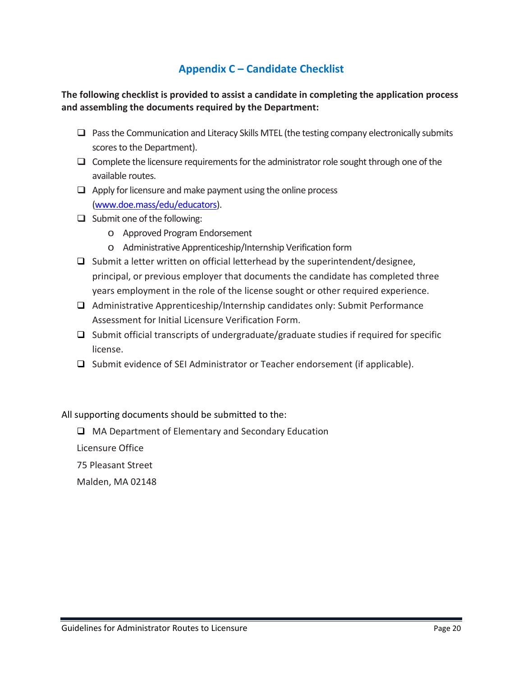# **Appendix C – Candidate Checklist**

### <span id="page-22-0"></span>**The following checklist is provided to assist a candidate in completing the application process and assembling the documents required by the Department:**

- $\Box$  Pass the Communication and Literacy Skills MTEL (the testing company electronically submits scores to the Department).
- $\Box$  Complete the licensure requirements for the administrator role sought through one of the available routes.
- $\Box$  Apply for licensure and make payment using the online process [\(www.doe.mass/edu/educators\)](http://www.doe.mass/edu/educators).
- $\Box$  Submit one of the following:
	- o Approved Program Endorsement
	- o Administrative Apprenticeship/Internship Verification form
- $\Box$  Submit a letter written on official letterhead by the superintendent/designee, principal, or previous employer that documents the candidate has completed three years employment in the role of the license sought or other required experience.
- Administrative Apprenticeship/Internship candidates only: Submit Performance Assessment for Initial Licensure Verification Form.
- $\Box$  Submit official transcripts of undergraduate/graduate studies if required for specific license.
- $\square$  Submit evidence of SEI Administrator or Teacher endorsement (if applicable).

All supporting documents should be submitted to the:

□ MA Department of Elementary and Secondary Education

Licensure Office

75 Pleasant Street

Malden, MA 02148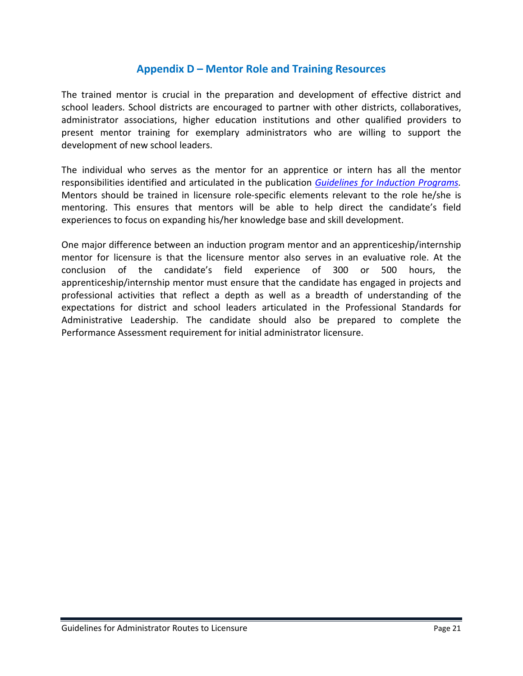# **Appendix D – Mentor Role and Training Resources**

<span id="page-23-0"></span>The trained mentor is crucial in the preparation and development of effective district and school leaders. School districts are encouraged to partner with other districts, collaboratives, administrator associations, higher education institutions and other qualified providers to present mentor training for exemplary administrators who are willing to support the development of new school leaders.

The individual who serves as the mentor for an apprentice or intern has all the mentor responsibilities identified and articulated in the publication *[Guidelines for Induction Programs.](http://www.doe.mass.edu/educators/mentor/induct.pdf)* Mentors should be trained in licensure role-specific elements relevant to the role he/she is mentoring. This ensures that mentors will be able to help direct the candidate's field experiences to focus on expanding his/her knowledge base and skill development.

One major difference between an induction program mentor and an apprenticeship/internship mentor for licensure is that the licensure mentor also serves in an evaluative role. At the conclusion of the candidate's field experience of 300 or 500 hours, the apprenticeship/internship mentor must ensure that the candidate has engaged in projects and professional activities that reflect a depth as well as a breadth of understanding of the expectations for district and school leaders articulated in the Professional Standards for Administrative Leadership. The candidate should also be prepared to complete the Performance Assessment requirement for initial administrator licensure.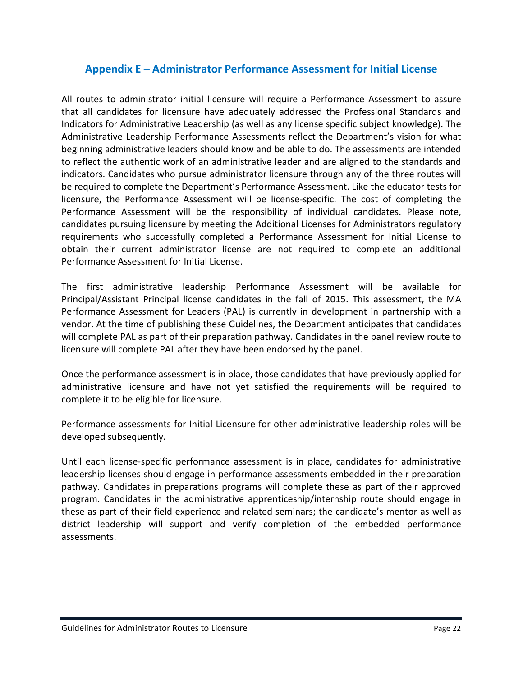# <span id="page-24-0"></span>**Appendix E – Administrator Performance Assessment for Initial License**

All routes to administrator initial licensure will require a Performance Assessment to assure that all candidates for licensure have adequately addressed the Professional Standards and Indicators for Administrative Leadership (as well as any license specific subject knowledge). The Administrative Leadership Performance Assessments reflect the Department's vision for what beginning administrative leaders should know and be able to do. The assessments are intended to reflect the authentic work of an administrative leader and are aligned to the standards and indicators. Candidates who pursue administrator licensure through any of the three routes will be required to complete the Department's Performance Assessment. Like the educator tests for licensure, the Performance Assessment will be license-specific. The cost of completing the Performance Assessment will be the responsibility of individual candidates. Please note, candidates pursuing licensure by meeting the Additional Licenses for Administrators regulatory requirements who successfully completed a Performance Assessment for Initial License to obtain their current administrator license are not required to complete an additional Performance Assessment for Initial License.

The first administrative leadership Performance Assessment will be available for Principal/Assistant Principal license candidates in the fall of 2015. This assessment, the MA Performance Assessment for Leaders (PAL) is currently in development in partnership with a vendor. At the time of publishing these Guidelines, the Department anticipates that candidates will complete PAL as part of their preparation pathway. Candidates in the panel review route to licensure will complete PAL after they have been endorsed by the panel.

Once the performance assessment is in place, those candidates that have previously applied for administrative licensure and have not yet satisfied the requirements will be required to complete it to be eligible for licensure.

Performance assessments for Initial Licensure for other administrative leadership roles will be developed subsequently.

Until each license-specific performance assessment is in place, candidates for administrative leadership licenses should engage in performance assessments embedded in their preparation pathway. Candidates in preparations programs will complete these as part of their approved program. Candidates in the administrative apprenticeship/internship route should engage in these as part of their field experience and related seminars; the candidate's mentor as well as district leadership will support and verify completion of the embedded performance assessments.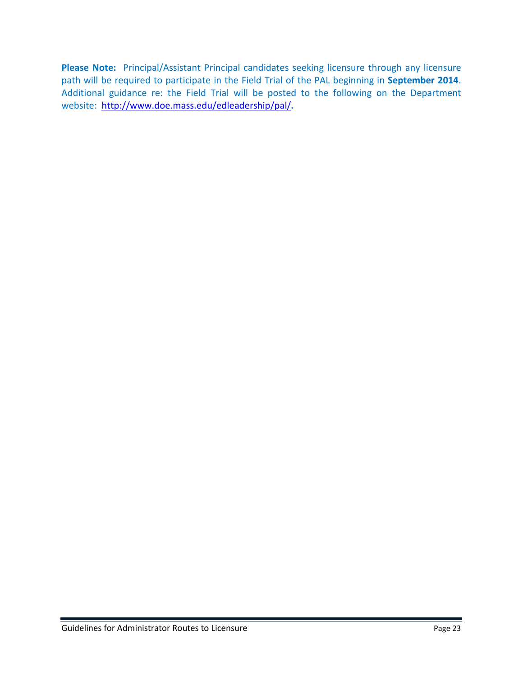**Please Note:** Principal/Assistant Principal candidates seeking licensure through any licensure path will be required to participate in the Field Trial of the PAL beginning in **September 2014**. Additional guidance re: the Field Trial will be posted to the following on the Department website: <http://www.doe.mass.edu/edleadership/pal/>**.**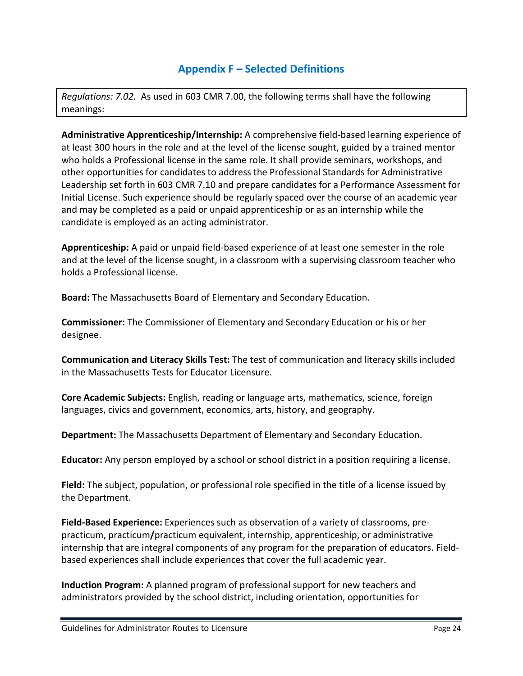# **Appendix F – Selected Definitions**

<span id="page-26-0"></span>*Regulations: 7.02.* As used in 603 CMR 7.00, the following terms shall have the following meanings:

**Administrative Apprenticeship/Internship:** A comprehensive field-based learning experience of at least 300 hours in the role and at the level of the license sought, guided by a trained mentor who holds a Professional license in the same role. It shall provide seminars, workshops, and other opportunities for candidates to address the Professional Standards for Administrative Leadership set forth in 603 CMR 7.10 and prepare candidates for a Performance Assessment for Initial License. Such experience should be regularly spaced over the course of an academic year and may be completed as a paid or unpaid apprenticeship or as an internship while the candidate is employed as an acting administrator.

**Apprenticeship:** A paid or unpaid field-based experience of at least one semester in the role and at the level of the license sought, in a classroom with a supervising classroom teacher who holds a Professional license.

**Board:** The Massachusetts Board of Elementary and Secondary Education.

**Commissioner:** The Commissioner of Elementary and Secondary Education or his or her designee.

**Communication and Literacy Skills Test:** The test of communication and literacy skills included in the Massachusetts Tests for Educator Licensure.

**Core Academic Subjects:** English, reading or language arts, mathematics, science, foreign languages, civics and government, economics, arts, history, and geography.

**Department:** The Massachusetts Department of Elementary and Secondary Education.

**Educator:** Any person employed by a school or school district in a position requiring a license.

**Field:** The subject, population, or professional role specified in the title of a license issued by the Department.

**Field-Based Experience:** Experiences such as observation of a variety of classrooms, prepracticum, practicum**/**practicum equivalent, internship, apprenticeship, or administrative internship that are integral components of any program for the preparation of educators. Fieldbased experiences shall include experiences that cover the full academic year.

**Induction Program:** A planned program of professional support for new teachers and administrators provided by the school district, including orientation, opportunities for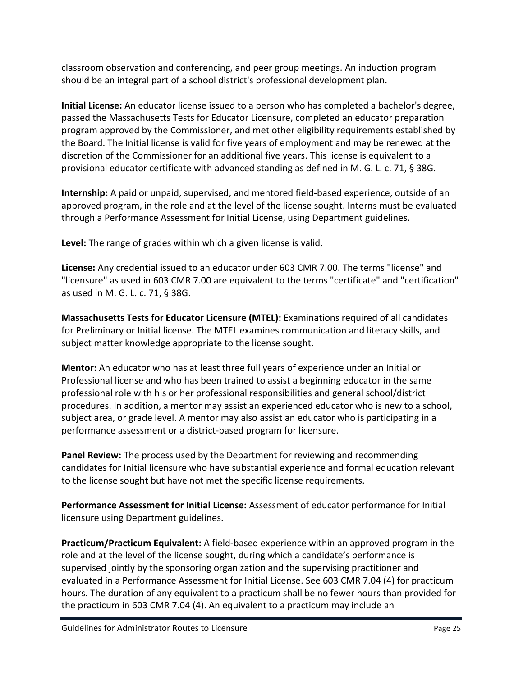classroom observation and conferencing, and peer group meetings. An induction program should be an integral part of a school district's professional development plan.

**Initial License:** An educator license issued to a person who has completed a bachelor's degree, passed the Massachusetts Tests for Educator Licensure, completed an educator preparation program approved by the Commissioner, and met other eligibility requirements established by the Board. The Initial license is valid for five years of employment and may be renewed at the discretion of the Commissioner for an additional five years. This license is equivalent to a provisional educator certificate with advanced standing as defined in M. G. L. c. 71, § 38G.

**Internship:** A paid or unpaid, supervised, and mentored field-based experience, outside of an approved program, in the role and at the level of the license sought. Interns must be evaluated through a Performance Assessment for Initial License, using Department guidelines.

**Level:** The range of grades within which a given license is valid.

**License:** Any credential issued to an educator under 603 CMR 7.00. The terms "license" and "licensure" as used in 603 CMR 7.00 are equivalent to the terms "certificate" and "certification" as used in M. G. L. c. 71, § 38G.

**Massachusetts Tests for Educator Licensure (MTEL):** Examinations required of all candidates for Preliminary or Initial license. The MTEL examines communication and literacy skills, and subject matter knowledge appropriate to the license sought.

**Mentor:** An educator who has at least three full years of experience under an Initial or Professional license and who has been trained to assist a beginning educator in the same professional role with his or her professional responsibilities and general school/district procedures. In addition, a mentor may assist an experienced educator who is new to a school, subject area, or grade level. A mentor may also assist an educator who is participating in a performance assessment or a district-based program for licensure.

**Panel Review:** The process used by the Department for reviewing and recommending candidates for Initial licensure who have substantial experience and formal education relevant to the license sought but have not met the specific license requirements.

**Performance Assessment for Initial License:** Assessment of educator performance for Initial licensure using Department guidelines.

**Practicum/Practicum Equivalent:** A field-based experience within an approved program in the role and at the level of the license sought, during which a candidate's performance is supervised jointly by the sponsoring organization and the supervising practitioner and evaluated in a Performance Assessment for Initial License. See 603 CMR 7.04 (4) for practicum hours. The duration of any equivalent to a practicum shall be no fewer hours than provided for the practicum in 603 CMR 7.04 (4). An equivalent to a practicum may include an